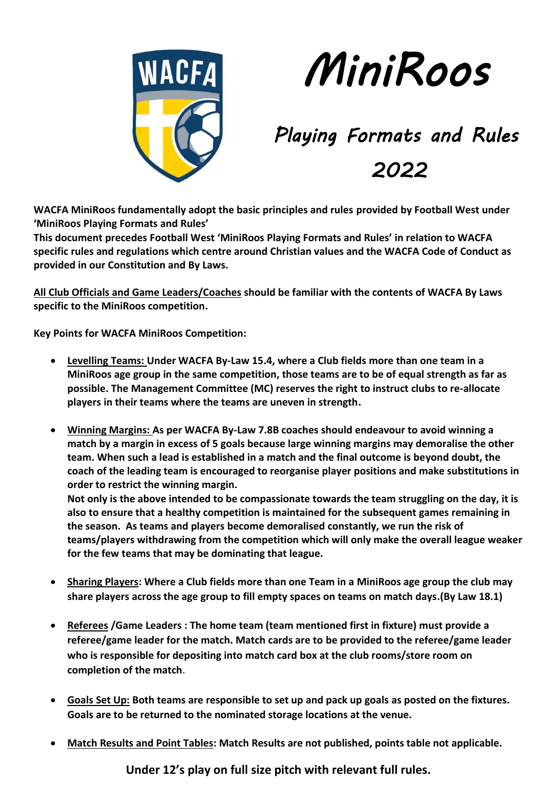

# *MiniRoos*

*Playing Formats and Rules* 

*2022* 

**WACFA MiniRoos fundamentally adopt the basic principles and rules provided by Football West under 'MiniRoos Playing Formats and Rules'** 

**This document precedes Football West 'MiniRoos Playing Formats and Rules' in relation to WACFA specific rules and regulations which centre around Christian values and the WACFA Code of Conduct as provided in our Constitution and By Laws.**

**All Club Officials and Game Leaders/Coaches should be familiar with the contents of WACFA By Laws specific to the MiniRoos competition.** 

**Key Points for WACFA MiniRoos Competition:**

- **Levelling Teams: Under WACFA By-Law 15.4, where a Club fields more than one team in a MiniRoos age group in the same competition, those teams are to be of equal strength as far as possible. The Management Committee (MC) reserves the right to instruct clubs to re-allocate players in their teams where the teams are uneven in strength.**
- **Winning Margins: As per WACFA By-Law 7.8B coaches should endeavour to avoid winning a match by a margin in excess of 5 goals because large winning margins may demoralise the other team. When such a lead is established in a match and the final outcome is beyond doubt, the coach of the leading team is encouraged to reorganise player positions and make substitutions in order to restrict the winning margin.**

**Not only is the above intended to be compassionate towards the team struggling on the day, it is also to ensure that a healthy competition is maintained for the subsequent games remaining in the season. As teams and players become demoralised constantly, we run the risk of teams/players withdrawing from the competition which will only make the overall league weaker for the few teams that may be dominating that league.**

- **Sharing Players: Where a Club fields more than one Team in a MiniRoos age group the club may share players across the age group to fill empty spaces on teams on match days.(By Law 18.1)**
- **Referees /Game Leaders : The home team (team mentioned first in fixture) must provide a referee/game leader for the match. Match cards are to be provided to the referee/game leader who is responsible for depositing into match card box at the club rooms/store room on completion of the match**.
- **Goals Set Up: Both teams are responsible to set up and pack up goals as posted on the fixtures. Goals are to be returned to the nominated storage locations at the venue.**
- **Match Results and Point Tables: Match Results are not published, points table not applicable.**

**Under 12's play on full size pitch with relevant full rules.**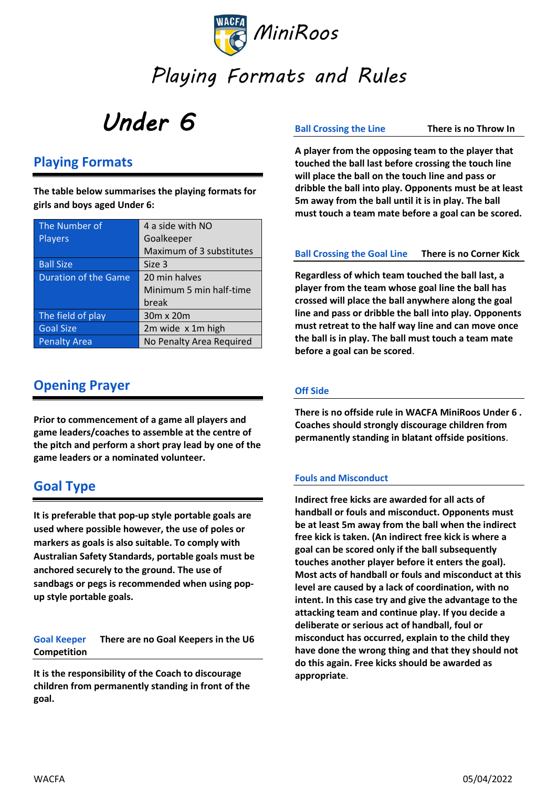

## *Under 6*

## **Playing Formats**

**The table below summarises the playing formats for girls and boys aged Under 6:**

| The Number of               | 4 a side with NO         |
|-----------------------------|--------------------------|
| Players                     | Goalkeeper               |
|                             | Maximum of 3 substitutes |
| <b>Ball Size</b>            | Size 3                   |
| <b>Duration of the Game</b> | 20 min halves            |
|                             | Minimum 5 min half-time  |
|                             | break                    |
| The field of play           | 30m x 20m                |
| <b>Goal Size</b>            | 2m wide x 1m high        |
| <b>Penalty Area</b>         | No Penalty Area Required |

## **Opening Prayer**

**Prior to commencement of a game all players and game leaders/coaches to assemble at the centre of the pitch and perform a short pray lead by one of the game leaders or a nominated volunteer.**

## **Goal Type**

**It is preferable that pop-up style portable goals are used where possible however, the use of poles or markers as goals is also suitable. To comply with Australian Safety Standards, portable goals must be anchored securely to the ground. The use of sandbags or pegs is recommended when using popup style portable goals.**

**Goal Keeper There are no Goal Keepers in the U6 Competition**

**It is the responsibility of the Coach to discourage children from permanently standing in front of the goal.**

## **Ball Crossing the Line There is no Throw In**

**A player from the opposing team to the player that touched the ball last before crossing the touch line will place the ball on the touch line and pass or dribble the ball into play. Opponents must be at least 5m away from the ball until it is in play. The ball must touch a team mate before a goal can be scored.** 

## **Ball Crossing the Goal Line There is no Corner Kick**

**Regardless of which team touched the ball last, a player from the team whose goal line the ball has crossed will place the ball anywhere along the goal line and pass or dribble the ball into play. Opponents must retreat to the half way line and can move once the ball is in play. The ball must touch a team mate before a goal can be scored**.

## **Off Side**

**There is no offside rule in WACFA MiniRoos Under 6 . Coaches should strongly discourage children from permanently standing in blatant offside positions**.

## **Fouls and Misconduct**

**Indirect free kicks are awarded for all acts of handball or fouls and misconduct. Opponents must be at least 5m away from the ball when the indirect free kick is taken. (An indirect free kick is where a goal can be scored only if the ball subsequently touches another player before it enters the goal). Most acts of handball or fouls and misconduct at this level are caused by a lack of coordination, with no intent. In this case try and give the advantage to the attacking team and continue play. If you decide a deliberate or serious act of handball, foul or misconduct has occurred, explain to the child they have done the wrong thing and that they should not do this again. Free kicks should be awarded as appropriate**.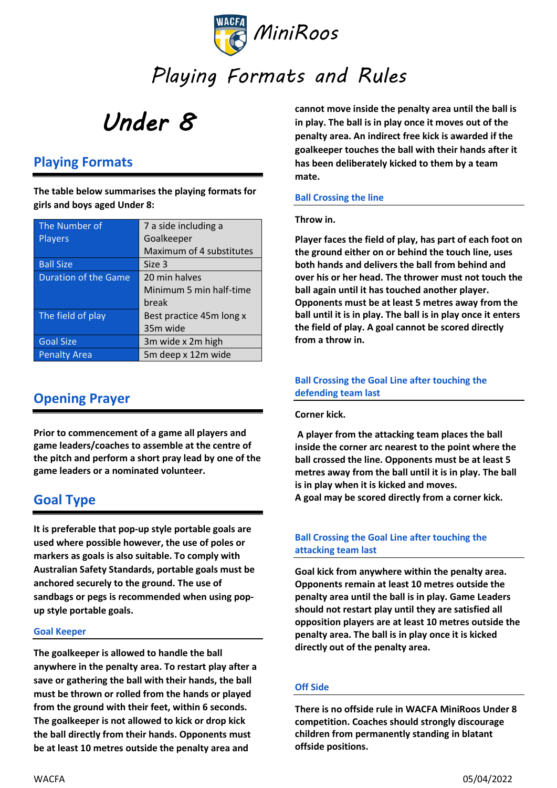

## *Under 8*

## **Playing Formats**

**The table below summarises the playing formats for girls and boys aged Under 8:**

| The Number of        | 7 a side including a     |
|----------------------|--------------------------|
| <b>Players</b>       | Goalkeeper               |
|                      | Maximum of 4 substitutes |
| <b>Ball Size</b>     | Size 3                   |
| Duration of the Game | 20 min halves            |
|                      | Minimum 5 min half-time  |
|                      | break                    |
| The field of play    | Best practice 45m long x |
|                      | 35m wide                 |
| <b>Goal Size</b>     | 3m wide x 2m high        |
| <b>Penalty Area</b>  | 5m deep x 12m wide       |

## **Opening Prayer**

**Prior to commencement of a game all players and game leaders/coaches to assemble at the centre of the pitch and perform a short pray lead by one of the game leaders or a nominated volunteer.**

## **Goal Type**

**It is preferable that pop-up style portable goals are used where possible however, the use of poles or markers as goals is also suitable. To comply with Australian Safety Standards, portable goals must be anchored securely to the ground. The use of sandbags or pegs is recommended when using popup style portable goals.**

## **Goal Keeper**

**The goalkeeper is allowed to handle the ball anywhere in the penalty area. To restart play after a save or gathering the ball with their hands, the ball must be thrown or rolled from the hands or played from the ground with their feet, within 6 seconds. The goalkeeper is not allowed to kick or drop kick the ball directly from their hands. Opponents must be at least 10 metres outside the penalty area and** 

**cannot move inside the penalty area until the ball is in play. The ball is in play once it moves out of the penalty area. An indirect free kick is awarded if the goalkeeper touches the ball with their hands after it has been deliberately kicked to them by a team mate.**

## **Ball Crossing the line**

#### **Throw in.**

**Player faces the field of play, has part of each foot on the ground either on or behind the touch line, uses both hands and delivers the ball from behind and over his or her head. The thrower must not touch the ball again until it has touched another player. Opponents must be at least 5 metres away from the ball until it is in play. The ball is in play once it enters the field of play. A goal cannot be scored directly from a throw in.**

## **Ball Crossing the Goal Line after touching the defending team last**

## **Corner kick.**

**A player from the attacking team places the ball inside the corner arc nearest to the point where the ball crossed the line. Opponents must be at least 5 metres away from the ball until it is in play. The ball is in play when it is kicked and moves. A goal may be scored directly from a corner kick.**

## **Ball Crossing the Goal Line after touching the attacking team last**

**Goal kick from anywhere within the penalty area. Opponents remain at least 10 metres outside the penalty area until the ball is in play. Game Leaders should not restart play until they are satisfied all opposition players are at least 10 metres outside the penalty area. The ball is in play once it is kicked directly out of the penalty area.**

## **Off Side**

**There is no offside rule in WACFA MiniRoos Under 8 competition. Coaches should strongly discourage children from permanently standing in blatant offside positions.**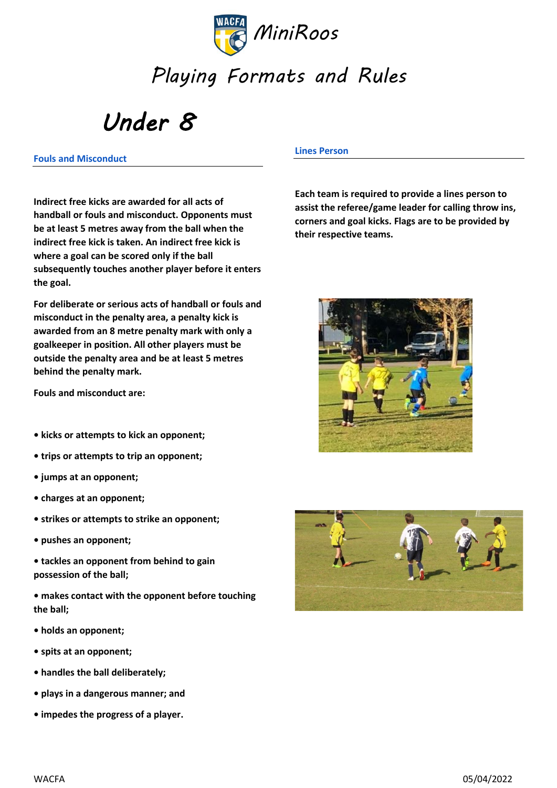

*Under 8* 

**Fouls and Misconduct**

**Indirect free kicks are awarded for all acts of handball or fouls and misconduct. Opponents must be at least 5 metres away from the ball when the indirect free kick is taken. An indirect free kick is where a goal can be scored only if the ball subsequently touches another player before it enters the goal.** 

**For deliberate or serious acts of handball or fouls and misconduct in the penalty area, a penalty kick is awarded from an 8 metre penalty mark with only a goalkeeper in position. All other players must be outside the penalty area and be at least 5 metres behind the penalty mark.** 

**Fouls and misconduct are:** 

- **kicks or attempts to kick an opponent;**
- **trips or attempts to trip an opponent;**
- **jumps at an opponent;**
- **charges at an opponent;**
- **strikes or attempts to strike an opponent;**
- **pushes an opponent;**
- **tackles an opponent from behind to gain possession of the ball;**
- **makes contact with the opponent before touching the ball;**
- **holds an opponent;**
- **spits at an opponent;**
- **handles the ball deliberately;**
- **plays in a dangerous manner; and**
- **impedes the progress of a player.**

**Lines Person**

**Each team is required to provide a lines person to assist the referee/game leader for calling throw ins, corners and goal kicks. Flags are to be provided by their respective teams.**



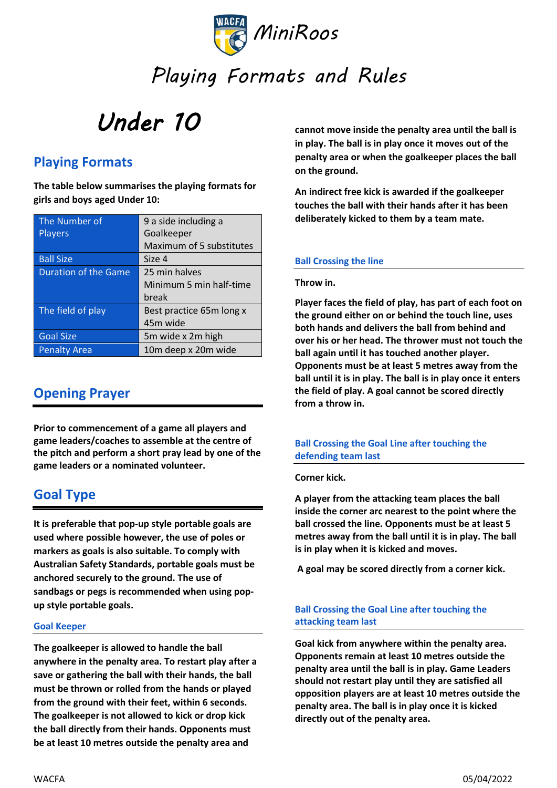

## *Under 10*

## **Playing Formats**

**The table below summarises the playing formats for girls and boys aged Under 10:**

| The Number of        | 9 a side including a     |
|----------------------|--------------------------|
| Players              | Goalkeeper               |
|                      | Maximum of 5 substitutes |
| <b>Ball Size</b>     | Size 4                   |
| Duration of the Game | 25 min halves            |
|                      | Minimum 5 min half-time  |
|                      | break                    |
| The field of play    | Best practice 65m long x |
|                      | 45m wide                 |
| <b>Goal Size</b>     | 5m wide x 2m high        |
| <b>Penalty Area</b>  | 10m deep x 20m wide      |

## **Opening Prayer**

**Prior to commencement of a game all players and game leaders/coaches to assemble at the centre of the pitch and perform a short pray lead by one of the game leaders or a nominated volunteer.**

## **Goal Type**

**It is preferable that pop-up style portable goals are used where possible however, the use of poles or markers as goals is also suitable. To comply with Australian Safety Standards, portable goals must be anchored securely to the ground. The use of sandbags or pegs is recommended when using pop-up style portable goals.**

## **Goal Keeper**

**The goalkeeper is allowed to handle the ball anywhere in the penalty area. To restart play after a save or gathering the ball with their hands, the ball must be thrown or rolled from the hands or played from the ground with their feet, within 6 seconds. The goalkeeper is not allowed to kick or drop kick the ball directly from their hands. Opponents must be at least 10 metres outside the penalty area and** 

**cannot move inside the penalty area until the ball is in play. The ball is in play once it moves out of the penalty area or when the goalkeeper places the ball on the ground.** 

**An indirect free kick is awarded if the goalkeeper touches the ball with their hands after it has been deliberately kicked to them by a team mate.**

## **Ball Crossing the line**

**Throw in.** 

**Player faces the field of play, has part of each foot on the ground either on or behind the touch line, uses both hands and delivers the ball from behind and over his or her head. The thrower must not touch the ball again until it has touched another player. Opponents must be at least 5 metres away from the ball until it is in play. The ball is in play once it enters the field of play. A goal cannot be scored directly from a throw in.**

## **Ball Crossing the Goal Line after touching the defending team last**

## **Corner kick.**

**A player from the attacking team places the ball inside the corner arc nearest to the point where the ball crossed the line. Opponents must be at least 5 metres away from the ball until it is in play. The ball is in play when it is kicked and moves.**

**A goal may be scored directly from a corner kick.**

## **Ball Crossing the Goal Line after touching the attacking team last**

**Goal kick from anywhere within the penalty area. Opponents remain at least 10 metres outside the penalty area until the ball is in play. Game Leaders should not restart play until they are satisfied all opposition players are at least 10 metres outside the penalty area. The ball is in play once it is kicked directly out of the penalty area.**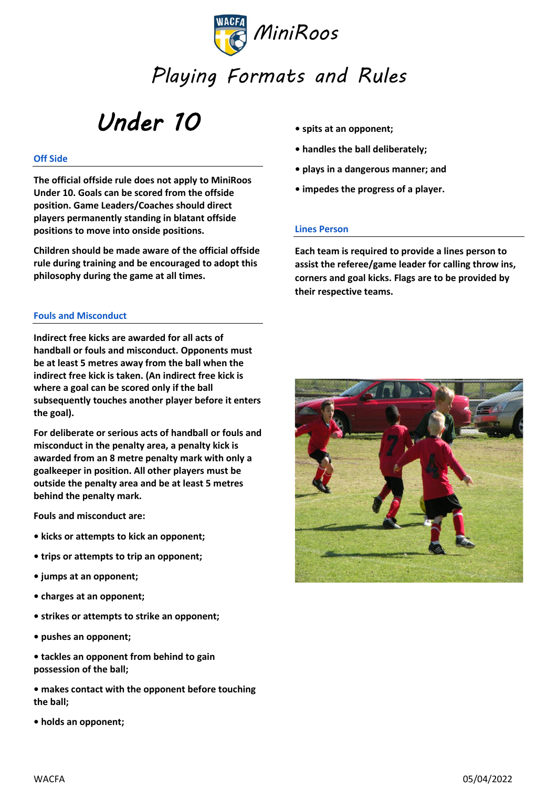

*Under 10* 

### **Off Side**

**The official offside rule does not apply to MiniRoos Under 10. Goals can be scored from the offside position. Game Leaders/Coaches should direct players permanently standing in blatant offside positions to move into onside positions.**

**Children should be made aware of the official offside rule during training and be encouraged to adopt this philosophy during the game at all times.** 

#### **Fouls and Misconduct**

**Indirect free kicks are awarded for all acts of handball or fouls and misconduct. Opponents must be at least 5 metres away from the ball when the indirect free kick is taken. (An indirect free kick is where a goal can be scored only if the ball subsequently touches another player before it enters the goal).** 

**For deliberate or serious acts of handball or fouls and misconduct in the penalty area, a penalty kick is awarded from an 8 metre penalty mark with only a goalkeeper in position. All other players must be outside the penalty area and be at least 5 metres behind the penalty mark.** 

**Fouls and misconduct are:** 

- **kicks or attempts to kick an opponent;**
- **trips or attempts to trip an opponent;**
- **jumps at an opponent;**
- **charges at an opponent;**
- **strikes or attempts to strike an opponent;**
- **pushes an opponent;**
- **tackles an opponent from behind to gain possession of the ball;**
- **makes contact with the opponent before touching the ball;**
- **holds an opponent;**
- **spits at an opponent;**
- **handles the ball deliberately;**
- **plays in a dangerous manner; and**
- **impedes the progress of a player.**

#### **Lines Person**

**Each team is required to provide a lines person to assist the referee/game leader for calling throw ins, corners and goal kicks. Flags are to be provided by their respective teams.**

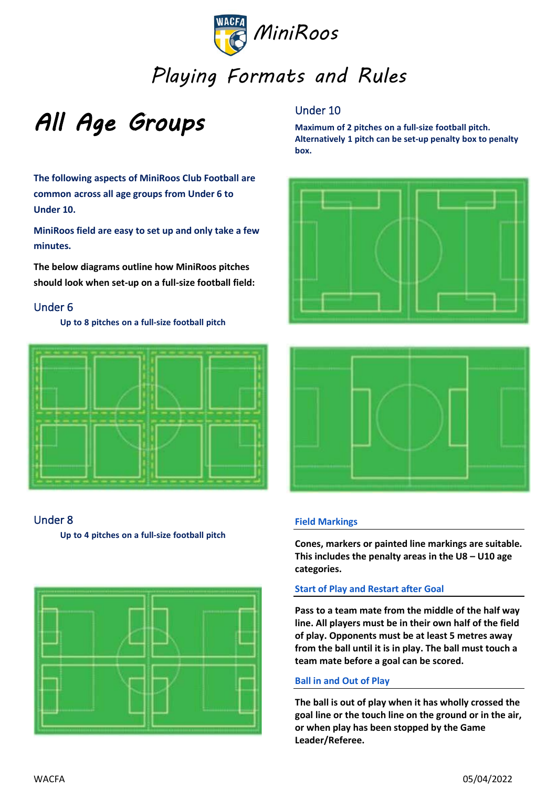

*Playing Formats and Rules*

## *All Age Groups*

**The following aspects of MiniRoos Club Football are common across all age groups from Under 6 to Under 10.**

**MiniRoos field are easy to set up and only take a few minutes.**

**The below diagrams outline how MiniRoos pitches should look when set-up on a full-size football field:**

## Under 6

**Up to 8 pitches on a full-size football pitch**







## Under 10

**Maximum of 2 pitches on a full-size football pitch. Alternatively 1 pitch can be set-up penalty box to penalty box.**





#### **Field Markings**

**Cones, markers or painted line markings are suitable. This includes the penalty areas in the U8 – U10 age categories.**

### **Start of Play and Restart after Goal**

**Pass to a team mate from the middle of the half way line. All players must be in their own half of the field of play. Opponents must be at least 5 metres away from the ball until it is in play. The ball must touch a team mate before a goal can be scored.**

#### **Ball in and Out of Play**

**The ball is out of play when it has wholly crossed the goal line or the touch line on the ground or in the air, or when play has been stopped by the Game Leader/Referee.**